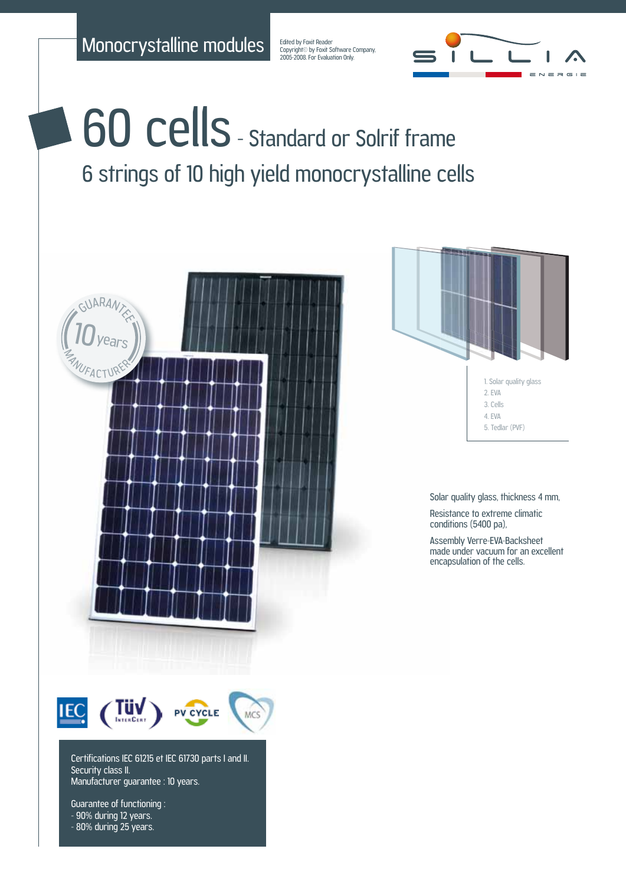Monocrystalline modules

Edited by Foxit Reader Copyright© by Foxit Software Company,<br>2005-2008. For Evaluation Only.



## 60 cells - Standard or Solrif frame 6 strings of 10 high yield monocrystalline cells



Guarantee of functioning : - 90% during 12 years. - 80% during 25 years.